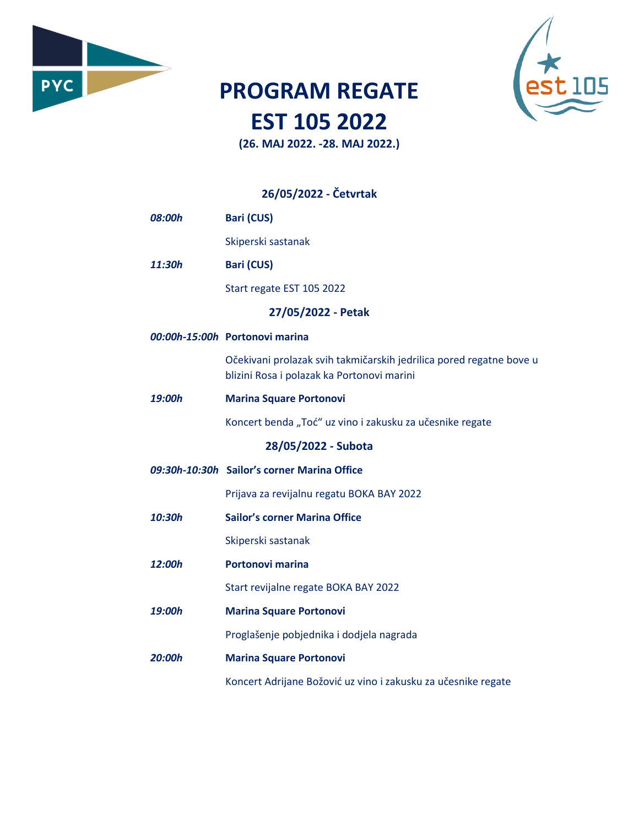

## **PROGRAM REGATE EST 105 2022**

Б

**(26. MAJ 2022. -28. MAJ 2022.)**

## **26/05/2022 - Četvrtak**

| 08:00h | <b>Bari (CUS)</b>                                                                                                 |
|--------|-------------------------------------------------------------------------------------------------------------------|
|        | Skiperski sastanak                                                                                                |
| 11:30h | <b>Bari (CUS)</b>                                                                                                 |
|        | Start regate EST 105 2022                                                                                         |
|        | 27/05/2022 - Petak                                                                                                |
|        | 00:00h-15:00h Portonovi marina                                                                                    |
|        | Očekivani prolazak svih takmičarskih jedrilica pored regatne bove u<br>blizini Rosa i polazak ka Portonovi marini |
| 19:00h | <b>Marina Square Portonovi</b>                                                                                    |
|        | Koncert benda "Toć" uz vino i zakusku za učesnike regate                                                          |
|        | 28/05/2022 - Subota                                                                                               |
|        | 09:30h-10:30h Sailor's corner Marina Office                                                                       |
|        | Prijava za revijalnu regatu BOKA BAY 2022                                                                         |
| 10:30h | <b>Sailor's corner Marina Office</b>                                                                              |
|        | Skiperski sastanak                                                                                                |
| 12:00h | <b>Portonovi marina</b>                                                                                           |
|        | Start revijalne regate BOKA BAY 2022                                                                              |
| 19:00h | <b>Marina Square Portonovi</b>                                                                                    |
|        | Proglašenje pobjednika i dodjela nagrada                                                                          |
| 20:00h | <b>Marina Square Portonovi</b>                                                                                    |
|        | Koncert Adrijane Božović uz vino i zakusku za učesnike regate                                                     |